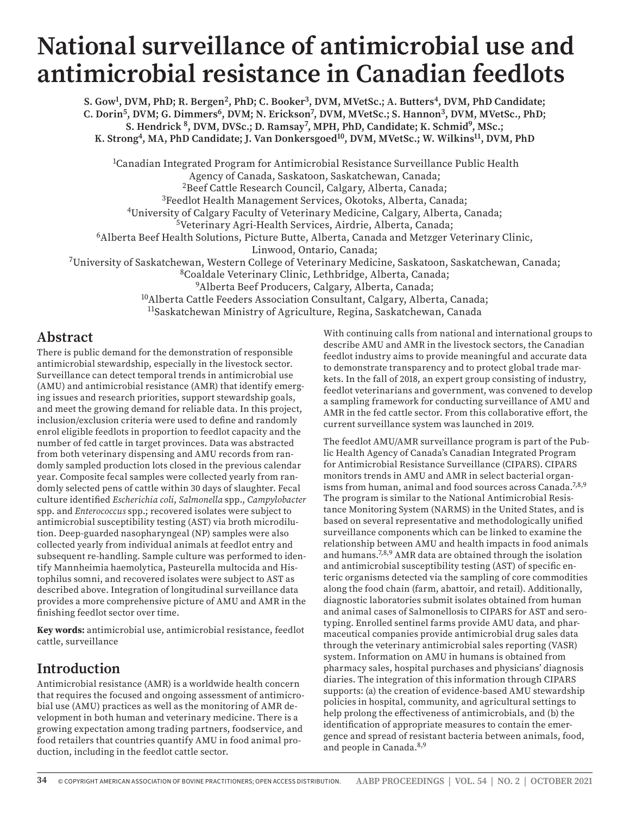# **National surveillance of antimicrobial use and antimicrobial resistance in Canadian feedlots**

S. Gow<sup>1</sup>, DVM, PhD; R. Bergen<sup>2</sup>, PhD; C. Booker<sup>3</sup>, DVM, MVetSc.; A. Butters<sup>4</sup>, DVM, PhD Candidate; C. Dorin<sup>5</sup>, DVM; G. Dimmers<sup>6</sup>, DVM; N. Erickson<sup>7</sup>, DVM, MVetSc.; S. Hannon<sup>3</sup>, DVM, MVetSc., PhD; S. Hendrick <sup>8</sup>, DVM, DVSc.; D. Ramsay<sup>7</sup>, MPH, PhD, Candidate; K. Schmid<sup>9</sup>, MSc.; K. Strong<sup>4</sup>, MA, PhD Candidate; J. Van Donkersgoed<sup>10</sup>, DVM, MVetSc.; W. Wilkins<sup>11</sup>, DVM, PhD

<sup>1</sup>Canadian Integrated Program for Antimicrobial Resistance Surveillance Public Health Agency of Canada, Saskatoon, Saskatchewan, Canada; <sup>2</sup>Beef Cattle Research Council, Calgary, Alberta, Canada; 3Feedlot Health Management Services, Okotoks, Alberta, Canada; 4University of Calgary Faculty of Veterinary Medicine, Calgary, Alberta, Canada; 5Veterinary Agri-Health Services, Airdrie, Alberta, Canada; 6Alberta Beef Health Solutions, Picture Butte, Alberta, Canada and Metzger Veterinary Clinic, Linwood, Ontario, Canada; 7University of Saskatchewan, Western College of Veterinary Medicine, Saskatoon, Saskatchewan, Canada; 8Coaldale Veterinary Clinic, Lethbridge, Alberta, Canada; 9Alberta Beef Producers, Calgary, Alberta, Canada; <sup>10</sup>Alberta Cattle Feeders Association Consultant, Calgary, Alberta, Canada; 11Saskatchewan Ministry of Agriculture, Regina, Saskatchewan, Canada

### **Abstract**

There is public demand for the demonstration of responsible antimicrobial stewardship, especially in the livestock sector. Surveillance can detect temporal trends in antimicrobial use (AMU) and antimicrobial resistance (AMR) that identify emerging issues and research priorities, support stewardship goals, and meet the growing demand for reliable data. In this project, inclusion/exclusion criteria were used to define and randomly enrol eligible feedlots in proportion to feedlot capacity and the number of fed cattle in target provinces. Data was abstracted from both veterinary dispensing and AMU records from randomly sampled production lots closed in the previous calendar year. Composite fecal samples were collected yearly from randomly selected pens of cattle within 30 days of slaughter. Fecal culture identified *Escherichia coli*, *Salmonella* spp., *Campylobacter* spp. and *Enterococcus* spp.; recovered isolates were subject to antimicrobial susceptibility testing (AST) via broth microdilution. Deep-guarded nasopharyngeal (NP) samples were also collected yearly from individual animals at feedlot entry and subsequent re-handling. Sample culture was performed to identify Mannheimia haemolytica, Pasteurella multocida and Histophilus somni, and recovered isolates were subject to AST as described above. Integration of longitudinal surveillance data provides a more comprehensive picture of AMU and AMR in the finishing feedlot sector over time.

**Key words:** antimicrobial use, antimicrobial resistance, feedlot cattle, surveillance

# **Introduction**

Antimicrobial resistance (AMR) is a worldwide health concern that requires the focused and ongoing assessment of antimicrobial use (AMU) practices as well as the monitoring of AMR development in both human and veterinary medicine. There is a growing expectation among trading partners, foodservice, and food retailers that countries quantify AMU in food animal production, including in the feedlot cattle sector.

With continuing calls from national and international groups to describe AMU and AMR in the livestock sectors, the Canadian feedlot industry aims to provide meaningful and accurate data to demonstrate transparency and to protect global trade markets. In the fall of 2018, an expert group consisting of industry, feedlot veterinarians and government, was convened to develop a sampling framework for conducting surveillance of AMU and AMR in the fed cattle sector. From this collaborative effort, the current surveillance system was launched in 2019.

The feedlot AMU/AMR surveillance program is part of the Public Health Agency of Canada's Canadian Integrated Program for Antimicrobial Resistance Surveillance (CIPARS). CIPARS monitors trends in AMU and AMR in select bacterial organisms from human, animal and food sources across Canada.<sup>7,8,9</sup> The program is similar to the National Antimicrobial Resistance Monitoring System (NARMS) in the United States, and is based on several representative and methodologically unified surveillance components which can be linked to examine the relationship between AMU and health impacts in food animals and humans.7,8,9 AMR data are obtained through the isolation and antimicrobial susceptibility testing (AST) of specific enteric organisms detected via the sampling of core commodities along the food chain (farm, abattoir, and retail). Additionally, diagnostic laboratories submit isolates obtained from human and animal cases of Salmonellosis to CIPARS for AST and serotyping. Enrolled sentinel farms provide AMU data, and pharmaceutical companies provide antimicrobial drug sales data through the veterinary antimicrobial sales reporting (VASR) system. Information on AMU in humans is obtained from pharmacy sales, hospital purchases and physicians' diagnosis diaries. The integration of this information through CIPARS supports: (a) the creation of evidence-based AMU stewardship policies in hospital, community, and agricultural settings to help prolong the effectiveness of antimicrobials, and (b) the identification of appropriate measures to contain the emergence and spread of resistant bacteria between animals, food, and people in Canada.8,9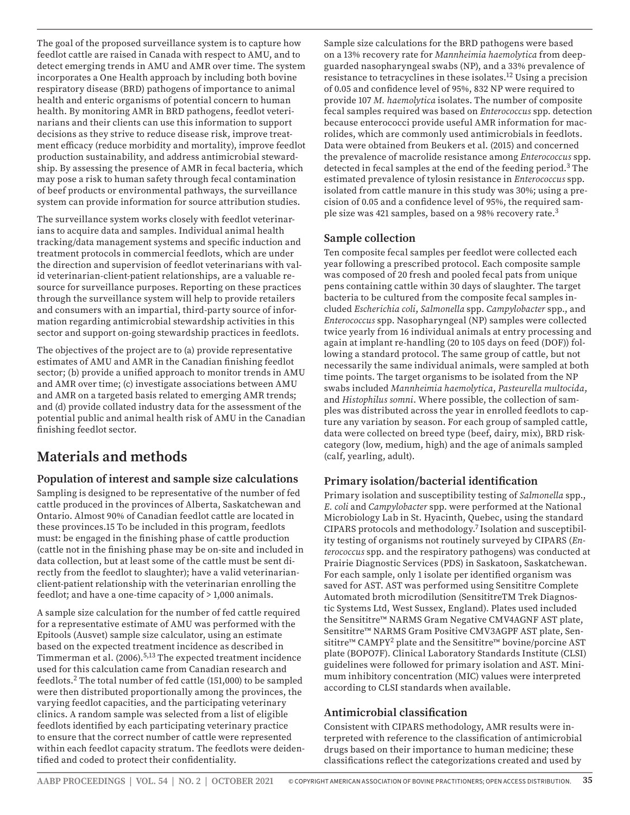The goal of the proposed surveillance system is to capture how feedlot cattle are raised in Canada with respect to AMU, and to detect emerging trends in AMU and AMR over time. The system incorporates a One Health approach by including both bovine respiratory disease (BRD) pathogens of importance to animal health and enteric organisms of potential concern to human health. By monitoring AMR in BRD pathogens, feedlot veterinarians and their clients can use this information to support decisions as they strive to reduce disease risk, improve treatment efficacy (reduce morbidity and mortality), improve feedlot production sustainability, and address antimicrobial stewardship. By assessing the presence of AMR in fecal bacteria, which may pose a risk to human safety through fecal contamination of beef products or environmental pathways, the surveillance system can provide information for source attribution studies.

The surveillance system works closely with feedlot veterinarians to acquire data and samples. Individual animal health tracking/data management systems and specific induction and treatment protocols in commercial feedlots, which are under the direction and supervision of feedlot veterinarians with valid veterinarian-client-patient relationships, are a valuable resource for surveillance purposes. Reporting on these practices through the surveillance system will help to provide retailers and consumers with an impartial, third-party source of information regarding antimicrobial stewardship activities in this sector and support on-going stewardship practices in feedlots.

The objectives of the project are to (a) provide representative estimates of AMU and AMR in the Canadian finishing feedlot sector; (b) provide a unified approach to monitor trends in AMU and AMR over time; (c) investigate associations between AMU and AMR on a targeted basis related to emerging AMR trends; and (d) provide collated industry data for the assessment of the potential public and animal health risk of AMU in the Canadian finishing feedlot sector.

# **Materials and methods**

### **Population of interest and sample size calculations**

Sampling is designed to be representative of the number of fed cattle produced in the provinces of Alberta, Saskatchewan and Ontario. Almost 90% of Canadian feedlot cattle are located in these provinces.15 To be included in this program, feedlots must: be engaged in the finishing phase of cattle production (cattle not in the finishing phase may be on-site and included in data collection, but at least some of the cattle must be sent directly from the feedlot to slaughter); have a valid veterinarianclient-patient relationship with the veterinarian enrolling the feedlot; and have a one-time capacity of > 1,000 animals.

A sample size calculation for the number of fed cattle required for a representative estimate of AMU was performed with the Epitools (Ausvet) sample size calculator, using an estimate based on the expected treatment incidence as described in Timmerman et al. (2006).5,13 The expected treatment incidence used for this calculation came from Canadian research and feedlots.2 The total number of fed cattle (151,000) to be sampled were then distributed proportionally among the provinces, the varying feedlot capacities, and the participating veterinary clinics. A random sample was selected from a list of eligible feedlots identified by each participating veterinary practice to ensure that the correct number of cattle were represented within each feedlot capacity stratum. The feedlots were deidentified and coded to protect their confidentiality.

Sample size calculations for the BRD pathogens were based on a 13% recovery rate for *Mannheimia haemolytica* from deepguarded nasopharyngeal swabs (NP), and a 33% prevalence of resistance to tetracyclines in these isolates.12 Using a precision of 0.05 and confidence level of 95%, 832 NP were required to provide 107 *M. haemolytica* isolates. The number of composite fecal samples required was based on *Enterococcus* spp. detection because enterococci provide useful AMR information for macrolides, which are commonly used antimicrobials in feedlots. Data were obtained from Beukers et al. (2015) and concerned the prevalence of macrolide resistance among *Enterococcus* spp. detected in fecal samples at the end of the feeding period.<sup>3</sup> The estimated prevalence of tylosin resistance in *Enterococcus* spp. isolated from cattle manure in this study was 30%; using a precision of 0.05 and a confidence level of 95%, the required sample size was 421 samples, based on a 98% recovery rate.<sup>3</sup>

#### **Sample collection**

Ten composite fecal samples per feedlot were collected each year following a prescribed protocol. Each composite sample was composed of 20 fresh and pooled fecal pats from unique pens containing cattle within 30 days of slaughter. The target bacteria to be cultured from the composite fecal samples included *Escherichia coli*, *Salmonella* spp. *Campylobacter* spp., and *Enterococcus* spp. Nasopharyngeal (NP) samples were collected twice yearly from 16 individual animals at entry processing and again at implant re-handling (20 to 105 days on feed (DOF)) following a standard protocol. The same group of cattle, but not necessarily the same individual animals, were sampled at both time points. The target organisms to be isolated from the NP swabs included *Mannheimia haemolytica*, *Pasteurella multocida*, and *Histophilus somni*. Where possible, the collection of samples was distributed across the year in enrolled feedlots to capture any variation by season. For each group of sampled cattle, data were collected on breed type (beef, dairy, mix), BRD riskcategory (low, medium, high) and the age of animals sampled (calf, yearling, adult).

### **Primary isolation/bacterial identification**

Primary isolation and susceptibility testing of *Salmonella* spp., *E. coli* and *Campylobacter* spp. were performed at the National Microbiology Lab in St. Hyacinth, Quebec, using the standard CIPARS protocols and methodology.7 Isolation and susceptibility testing of organisms not routinely surveyed by CIPARS (*Enterococcus* spp. and the respiratory pathogens) was conducted at Prairie Diagnostic Services (PDS) in Saskatoon, Saskatchewan. For each sample, only 1 isolate per identified organism was saved for AST. AST was performed using Sensititre Complete Automated broth microdilution (SensititreTM Trek Diagnostic Systems Ltd, West Sussex, England). Plates used included the Sensititre™ NARMS Gram Negative CMV4AGNF AST plate, Sensititre™ NARMS Gram Positive CMV3AGPF AST plate, Sensititre™ CAMPY2 plate and the Sensititre™ bovine/porcine AST plate (BOPO7F). Clinical Laboratory Standards Institute (CLSI) guidelines were followed for primary isolation and AST. Minimum inhibitory concentration (MIC) values were interpreted according to CLSI standards when available.

#### **Antimicrobial classification**

Consistent with CIPARS methodology, AMR results were interpreted with reference to the classification of antimicrobial drugs based on their importance to human medicine; these classifications reflect the categorizations created and used by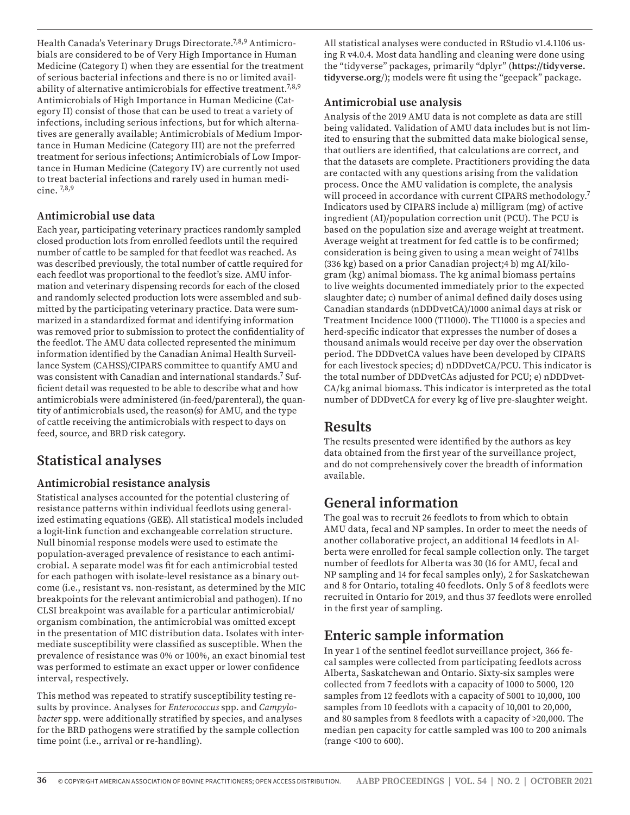Health Canada's Veterinary Drugs Directorate.7,8,9 Antimicrobials are considered to be of Very High Importance in Human Medicine (Category I) when they are essential for the treatment of serious bacterial infections and there is no or limited availability of alternative antimicrobials for effective treatment.<sup>7,8,9</sup> Antimicrobials of High Importance in Human Medicine (Category II) consist of those that can be used to treat a variety of infections, including serious infections, but for which alternatives are generally available; Antimicrobials of Medium Importance in Human Medicine (Category III) are not the preferred treatment for serious infections; Antimicrobials of Low Importance in Human Medicine (Category IV) are currently not used to treat bacterial infections and rarely used in human medicine. 7,8,9

#### **Antimicrobial use data**

Each year, participating veterinary practices randomly sampled closed production lots from enrolled feedlots until the required number of cattle to be sampled for that feedlot was reached. As was described previously, the total number of cattle required for each feedlot was proportional to the feedlot's size. AMU information and veterinary dispensing records for each of the closed and randomly selected production lots were assembled and submitted by the participating veterinary practice. Data were summarized in a standardized format and identifying information was removed prior to submission to protect the confidentiality of the feedlot. The AMU data collected represented the minimum information identified by the Canadian Animal Health Surveillance System (CAHSS)/CIPARS committee to quantify AMU and was consistent with Canadian and international standards.7 Sufficient detail was requested to be able to describe what and how antimicrobials were administered (in-feed/parenteral), the quantity of antimicrobials used, the reason(s) for AMU, and the type of cattle receiving the antimicrobials with respect to days on feed, source, and BRD risk category.

### **Statistical analyses**

#### **Antimicrobial resistance analysis**

Statistical analyses accounted for the potential clustering of resistance patterns within individual feedlots using generalized estimating equations (GEE). All statistical models included a logit-link function and exchangeable correlation structure. Null binomial response models were used to estimate the population-averaged prevalence of resistance to each antimicrobial. A separate model was fit for each antimicrobial tested for each pathogen with isolate-level resistance as a binary outcome (i.e., resistant vs. non-resistant, as determined by the MIC breakpoints for the relevant antimicrobial and pathogen). If no CLSI breakpoint was available for a particular antimicrobial/ organism combination, the antimicrobial was omitted except in the presentation of MIC distribution data. Isolates with intermediate susceptibility were classified as susceptible. When the prevalence of resistance was 0% or 100%, an exact binomial test was performed to estimate an exact upper or lower confidence interval, respectively.

This method was repeated to stratify susceptibility testing results by province. Analyses for *Enterococcus* spp. and *Campylobacter* spp. were additionally stratified by species, and analyses for the BRD pathogens were stratified by the sample collection time point (i.e., arrival or re-handling).

All statistical analyses were conducted in RStudio v1.4.1106 using R v4.0.4. Most data handling and cleaning were done using the "tidyverse" packages, primarily "dplyr" (**https://tidyverse. tidyverse.org**/); models were fit using the "geepack" package.

### **Antimicrobial use analysis**

Analysis of the 2019 AMU data is not complete as data are still being validated. Validation of AMU data includes but is not limited to ensuring that the submitted data make biological sense, that outliers are identified, that calculations are correct, and that the datasets are complete. Practitioners providing the data are contacted with any questions arising from the validation process. Once the AMU validation is complete, the analysis will proceed in accordance with current CIPARS methodology.<sup>7</sup> Indicators used by CIPARS include a) milligram (mg) of active ingredient (AI)/population correction unit (PCU). The PCU is based on the population size and average weight at treatment. Average weight at treatment for fed cattle is to be confirmed; consideration is being given to using a mean weight of 741lbs (336 kg) based on a prior Canadian project;4 b) mg AI/kilogram (kg) animal biomass. The kg animal biomass pertains to live weights documented immediately prior to the expected slaughter date; c) number of animal defined daily doses using Canadian standards (nDDDvetCA)/1000 animal days at risk or Treatment Incidence 1000 (TI1000). The TI1000 is a species and herd-specific indicator that expresses the number of doses a thousand animals would receive per day over the observation period. The DDDvetCA values have been developed by CIPARS for each livestock species; d) nDDDvetCA/PCU. This indicator is the total number of DDDvetCAs adjusted for PCU; e) nDDDvet-CA/kg animal biomass. This indicator is interpreted as the total number of DDDvetCA for every kg of live pre-slaughter weight.

### **Results**

The results presented were identified by the authors as key data obtained from the first year of the surveillance project, and do not comprehensively cover the breadth of information available.

# **General information**

The goal was to recruit 26 feedlots to from which to obtain AMU data, fecal and NP samples. In order to meet the needs of another collaborative project, an additional 14 feedlots in Alberta were enrolled for fecal sample collection only. The target number of feedlots for Alberta was 30 (16 for AMU, fecal and NP sampling and 14 for fecal samples only), 2 for Saskatchewan and 8 for Ontario, totaling 40 feedlots. Only 5 of 8 feedlots were recruited in Ontario for 2019, and thus 37 feedlots were enrolled in the first year of sampling.

# **Enteric sample information**

In year 1 of the sentinel feedlot surveillance project, 366 fecal samples were collected from participating feedlots across Alberta, Saskatchewan and Ontario. Sixty-six samples were collected from 7 feedlots with a capacity of 1000 to 5000, 120 samples from 12 feedlots with a capacity of 5001 to 10,000, 100 samples from 10 feedlots with a capacity of 10,001 to 20,000, and 80 samples from 8 feedlots with a capacity of >20,000. The median pen capacity for cattle sampled was 100 to 200 animals (range <100 to 600).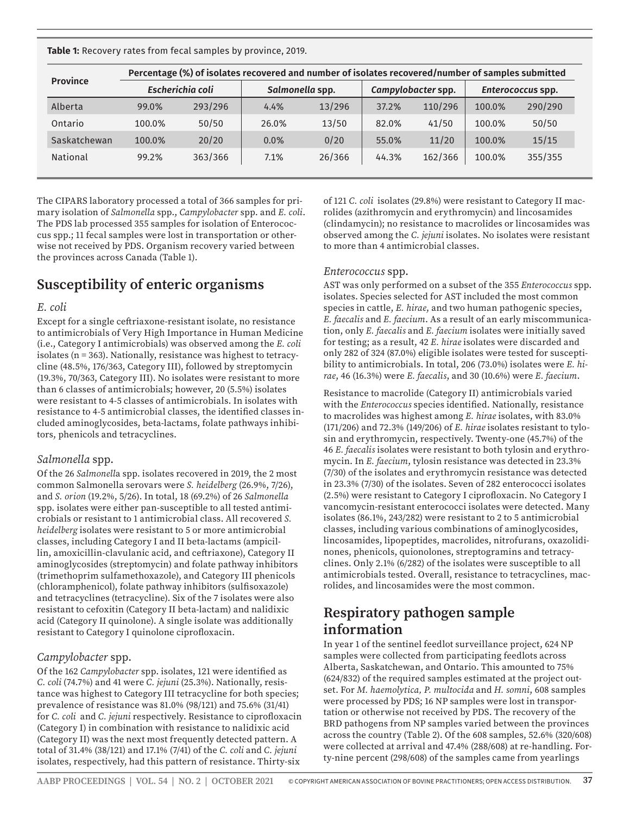**Table 1:** Recovery rates from fecal samples by province, 2019.

| <b>Province</b> | Percentage (%) of isolates recovered and number of isolates recovered/number of samples submitted |         |                 |        |                    |         |                   |         |  |  |  |
|-----------------|---------------------------------------------------------------------------------------------------|---------|-----------------|--------|--------------------|---------|-------------------|---------|--|--|--|
|                 | Escherichia coli                                                                                  |         | Salmonella spp. |        | Campylobacter spp. |         | Enterococcus spp. |         |  |  |  |
| Alberta         | 99.0%                                                                                             | 293/296 | 4.4%            | 13/296 | 37.2%              | 110/296 | 100.0%            | 290/290 |  |  |  |
| Ontario         | 100.0%                                                                                            | 50/50   | 26.0%           | 13/50  | 82.0%              | 41/50   | 100.0%            | 50/50   |  |  |  |
| Saskatchewan    | 100.0%                                                                                            | 20/20   | 0.0%            | 0/20   | 55.0%              | 11/20   | 100.0%            | 15/15   |  |  |  |
| <b>National</b> | 99.2%                                                                                             | 363/366 | 7.1%            | 26/366 | 44.3%              | 162/366 | 100.0%            | 355/355 |  |  |  |
|                 |                                                                                                   |         |                 |        |                    |         |                   |         |  |  |  |

The CIPARS laboratory processed a total of 366 samples for primary isolation of *Salmonella* spp., *Campylobacter* spp. and *E. coli*. The PDS lab processed 355 samples for isolation of Enterococcus spp.; 11 fecal samples were lost in transportation or otherwise not received by PDS. Organism recovery varied between the provinces across Canada (Table 1).

## **Susceptibility of enteric organisms**

#### *E. coli*

Except for a single ceftriaxone-resistant isolate, no resistance to antimicrobials of Very High Importance in Human Medicine (i.e., Category I antimicrobials) was observed among the *E. coli* isolates (n = 363). Nationally, resistance was highest to tetracycline (48.5%, 176/363, Category III), followed by streptomycin (19.3%, 70/363, Category III). No isolates were resistant to more than 6 classes of antimicrobials; however, 20 (5.5%) isolates were resistant to 4-5 classes of antimicrobials. In isolates with resistance to 4-5 antimicrobial classes, the identified classes included aminoglycosides, beta-lactams, folate pathways inhibitors, phenicols and tetracyclines.

#### *Salmonella* spp.

Of the 26 *Salmonell*a spp. isolates recovered in 2019, the 2 most common Salmonella serovars were *S. heidelberg* (26.9%, 7/26), and *S. orion* (19.2%, 5/26). In total, 18 (69.2%) of 26 *Salmonella* spp. isolates were either pan-susceptible to all tested antimicrobials or resistant to 1 antimicrobial class. All recovered *S. heidelberg* isolates were resistant to 5 or more antimicrobial classes, including Category I and II beta-lactams (ampicillin, amoxicillin-clavulanic acid, and ceftriaxone), Category II aminoglycosides (streptomycin) and folate pathway inhibitors (trimethoprim sulfamethoxazole), and Category III phenicols (chloramphenicol), folate pathway inhibitors (sulfisoxazole) and tetracyclines (tetracycline). Six of the 7 isolates were also resistant to cefoxitin (Category II beta-lactam) and nalidixic acid (Category II quinolone). A single isolate was additionally resistant to Category I quinolone ciprofloxacin.

#### *Campylobacter* spp.

Of the 162 *Campylobacter* spp. isolates, 121 were identified as *C. coli* (74.7%) and 41 were *C. jejuni* (25.3%). Nationally, resistance was highest to Category III tetracycline for both species; prevalence of resistance was 81.0% (98/121) and 75.6% (31/41) for *C. coli* and *C. jejuni* respectively. Resistance to ciprofloxacin (Category I) in combination with resistance to nalidixic acid (Category II) was the next most frequently detected pattern. A total of 31.4% (38/121) and 17.1% (7/41) of the *C. coli* and *C. jejuni*  isolates, respectively, had this pattern of resistance. Thirty-six

of 121 *C. coli* isolates (29.8%) were resistant to Category II macrolides (azithromycin and erythromycin) and lincosamides (clindamycin); no resistance to macrolides or lincosamides was observed among the *C. jejuni* isolates. No isolates were resistant to more than 4 antimicrobial classes.

#### *Enterococcus* spp.

AST was only performed on a subset of the 355 *Enterococcus* spp. isolates. Species selected for AST included the most common species in cattle, *E. hirae*, and two human pathogenic species, *E. faecalis* and *E. faecium*. As a result of an early miscommunication, only *E. faecalis* and *E. faecium* isolates were initially saved for testing; as a result, 42 *E. hirae* isolates were discarded and only 282 of 324 (87.0%) eligible isolates were tested for susceptibility to antimicrobials. In total, 206 (73.0%) isolates were *E. hirae*, 46 (16.3%) were *E. faecalis*, and 30 (10.6%) were *E. faecium*.

Resistance to macrolide (Category II) antimicrobials varied with the *Enterococcus* species identified. Nationally, resistance to macrolides was highest among *E. hirae* isolates, with 83.0% (171/206) and 72.3% (149/206) of *E. hirae* isolates resistant to tylosin and erythromycin, respectively. Twenty-one (45.7%) of the 46 *E. faecalis* isolates were resistant to both tylosin and erythromycin. In *E. faecium*, tylosin resistance was detected in 23.3% (7/30) of the isolates and erythromycin resistance was detected in 23.3% (7/30) of the isolates. Seven of 282 enterococci isolates (2.5%) were resistant to Category I ciprofloxacin. No Category I vancomycin-resistant enterococci isolates were detected. Many isolates (86.1%, 243/282) were resistant to 2 to 5 antimicrobial classes, including various combinations of aminoglycosides, lincosamides, lipopeptides, macrolides, nitrofurans, oxazolidinones, phenicols, quionolones, streptogramins and tetracyclines. Only 2.1% (6/282) of the isolates were susceptible to all antimicrobials tested. Overall, resistance to tetracyclines, macrolides, and lincosamides were the most common.

## **Respiratory pathogen sample information**

In year 1 of the sentinel feedlot surveillance project, 624 NP samples were collected from participating feedlots across Alberta, Saskatchewan, and Ontario. This amounted to 75% (624/832) of the required samples estimated at the project outset. For *M. haemolytica, P. multocida* and *H. somni*, 608 samples were processed by PDS; 16 NP samples were lost in transportation or otherwise not received by PDS. The recovery of the BRD pathogens from NP samples varied between the provinces across the country (Table 2). Of the 608 samples, 52.6% (320/608) were collected at arrival and 47.4% (288/608) at re-handling. Forty-nine percent (298/608) of the samples came from yearlings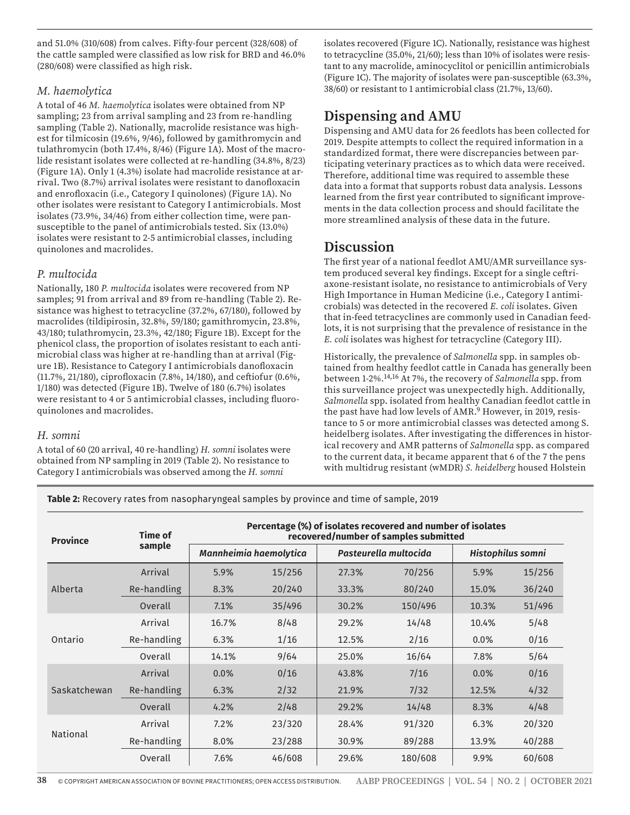and 51.0% (310/608) from calves. Fifty-four percent (328/608) of the cattle sampled were classified as low risk for BRD and 46.0% (280/608) were classified as high risk.

#### *M. haemolytica*

A total of 46 *M. haemolytica* isolates were obtained from NP sampling; 23 from arrival sampling and 23 from re-handling sampling (Table 2). Nationally, macrolide resistance was highest for tilmicosin (19.6%, 9/46), followed by gamithromycin and tulathromycin (both 17.4%, 8/46) (Figure 1A). Most of the macrolide resistant isolates were collected at re-handling (34.8%, 8/23) (Figure 1A). Only 1 (4.3%) isolate had macrolide resistance at arrival. Two (8.7%) arrival isolates were resistant to danofloxacin and enrofloxacin (i.e., Category I quinolones) (Figure 1A). No other isolates were resistant to Category I antimicrobials. Most isolates (73.9%, 34/46) from either collection time, were pansusceptible to the panel of antimicrobials tested. Six (13.0%) isolates were resistant to 2-5 antimicrobial classes, including quinolones and macrolides.

#### *P. multocida*

Nationally, 180 *P. multocida* isolates were recovered from NP samples; 91 from arrival and 89 from re-handling (Table 2). Resistance was highest to tetracycline (37.2%, 67/180), followed by macrolides (tildipirosin, 32.8%, 59/180; gamithromycin, 23.8%, 43/180; tulathromycin, 23.3%, 42/180; Figure 1B). Except for the phenicol class, the proportion of isolates resistant to each antimicrobial class was higher at re-handling than at arrival (Figure 1B). Resistance to Category I antimicrobials danofloxacin (11.7%, 21/180), ciprofloxacin (7.8%, 14/180), and ceftiofur (0.6%, 1/180) was detected (Figure 1B). Twelve of 180 (6.7%) isolates were resistant to 4 or 5 antimicrobial classes, including fluoroquinolones and macrolides.

#### *H. somni*

A total of 60 (20 arrival, 40 re-handling) *H. somni* isolates were obtained from NP sampling in 2019 (Table 2). No resistance to Category I antimicrobials was observed among the *H. somni*

isolates recovered (Figure 1C). Nationally, resistance was highest to tetracycline (35.0%, 21/60); less than 10% of isolates were resistant to any macrolide, aminocyclitol or penicillin antimicrobials (Figure 1C). The majority of isolates were pan-susceptible (63.3%, 38/60) or resistant to 1 antimicrobial class (21.7%, 13/60).

# **Dispensing and AMU**

Dispensing and AMU data for 26 feedlots has been collected for 2019. Despite attempts to collect the required information in a standardized format, there were discrepancies between participating veterinary practices as to which data were received. Therefore, additional time was required to assemble these data into a format that supports robust data analysis. Lessons learned from the first year contributed to significant improvements in the data collection process and should facilitate the more streamlined analysis of these data in the future.

## **Discussion**

The first year of a national feedlot AMU/AMR surveillance system produced several key findings. Except for a single ceftriaxone-resistant isolate, no resistance to antimicrobials of Very High Importance in Human Medicine (i.e., Category I antimicrobials) was detected in the recovered *E. coli* isolates. Given that in-feed tetracyclines are commonly used in Canadian feedlots, it is not surprising that the prevalence of resistance in the *E. coli* isolates was highest for tetracycline (Category III).

Historically, the prevalence of *Salmonella* spp. in samples obtained from healthy feedlot cattle in Canada has generally been between 1-2%.14,16 At 7%, the recovery of *Salmonella* spp. from this surveillance project was unexpectedly high. Additionally, *Salmonella* spp. isolated from healthy Canadian feedlot cattle in the past have had low levels of AMR.<sup>9</sup> However, in 2019, resistance to 5 or more antimicrobial classes was detected among S. heidelberg isolates. After investigating the differences in historical recovery and AMR patterns of *Salmonella* spp. as compared to the current data, it became apparent that 6 of the 7 the pens with multidrug resistant (wMDR) *S. heidelberg* housed Holstein

**Table 2:** Recovery rates from nasopharyngeal samples by province and time of sample, 2019

| <b>Province</b> | Time of     | Percentage (%) of isolates recovered and number of isolates<br>recovered/number of samples submitted |                        |       |                       |                   |        |  |  |  |
|-----------------|-------------|------------------------------------------------------------------------------------------------------|------------------------|-------|-----------------------|-------------------|--------|--|--|--|
|                 | sample      |                                                                                                      | Mannheimia haemolytica |       | Pasteurella multocida | Histophilus somni |        |  |  |  |
|                 | Arrival     | 5.9%                                                                                                 | 15/256                 | 27.3% | 70/256                | 5.9%              | 15/256 |  |  |  |
| Alberta         | Re-handling | 8.3%                                                                                                 | 20/240                 | 33.3% | 80/240                | 15.0%             | 36/240 |  |  |  |
|                 | Overall     | 7.1%                                                                                                 | 35/496                 | 30.2% | 150/496               | 10.3%             | 51/496 |  |  |  |
| Ontario         | Arrival     | 16.7%                                                                                                | 8/48                   | 29.2% | 14/48                 | 10.4%             | 5/48   |  |  |  |
|                 | Re-handling | 6.3%                                                                                                 | 1/16                   | 12.5% | 2/16                  | $0.0\%$           | 0/16   |  |  |  |
|                 | Overall     | 14.1%                                                                                                | 9/64                   | 25.0% | 16/64                 | 7.8%              | 5/64   |  |  |  |
| Saskatchewan    | Arrival     | $0.0\%$                                                                                              | 0/16                   | 43.8% | 7/16                  | $0.0\%$           | 0/16   |  |  |  |
|                 | Re-handling | 6.3%                                                                                                 | 2/32                   | 21.9% | 7/32                  | 12.5%             | 4/32   |  |  |  |
|                 | Overall     | 4.2%                                                                                                 | 2/48                   | 29.2% | 14/48                 | 8.3%              | 4/48   |  |  |  |
| <b>National</b> | Arrival     | 7.2%                                                                                                 | 23/320                 | 28.4% | 91/320                | 6.3%              | 20/320 |  |  |  |
|                 | Re-handling | 8.0%                                                                                                 | 23/288                 | 30.9% | 89/288                | 13.9%             | 40/288 |  |  |  |
|                 | Overall     | 7.6%                                                                                                 | 46/608                 | 29.6% | 180/608               | 9.9%              | 60/608 |  |  |  |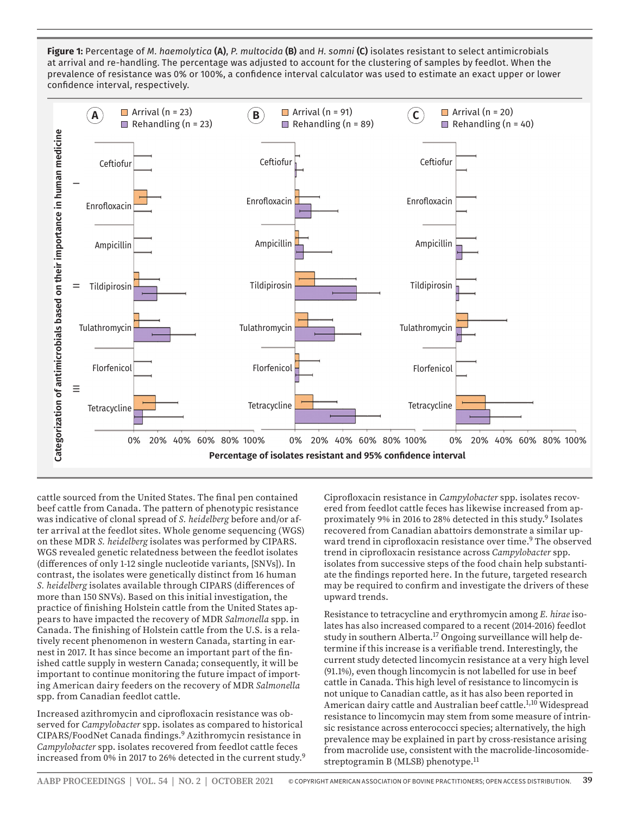**Figure 1:** Percentage of *M. haemolytica* **(A)**, *P. multocida* **(B)** and *H. somni* **(C)** isolates resistant to select antimicrobials at arrival and re-handling. The percentage was adjusted to account for the clustering of samples by feedlot. When the prevalence of resistance was 0% or 100%, a confidence interval calculator was used to estimate an exact upper or lower confidence interval, respectively.



cattle sourced from the United States. The final pen contained beef cattle from Canada. The pattern of phenotypic resistance was indicative of clonal spread of *S. heidelberg* before and/or after arrival at the feedlot sites. Whole genome sequencing (WGS) on these MDR *S. heidelberg* isolates was performed by CIPARS. WGS revealed genetic relatedness between the feedlot isolates (differences of only 1-12 single nucleotide variants, [SNVs]). In contrast, the isolates were genetically distinct from 16 human *S. heidelberg* isolates available through CIPARS (differences of more than 150 SNVs). Based on this initial investigation, the practice of finishing Holstein cattle from the United States appears to have impacted the recovery of MDR *Salmonella* spp. in Canada. The finishing of Holstein cattle from the U.S. is a relatively recent phenomenon in western Canada, starting in earnest in 2017. It has since become an important part of the finished cattle supply in western Canada; consequently, it will be important to continue monitoring the future impact of importing American dairy feeders on the recovery of MDR *Salmonella*  spp. from Canadian feedlot cattle.

Increased azithromycin and ciprofloxacin resistance was observed for *Campylobacter* spp. isolates as compared to historical CIPARS/FoodNet Canada findings.9 Azithromycin resistance in *Campylobacter* spp. isolates recovered from feedlot cattle feces increased from 0% in 2017 to 26% detected in the current study.<sup>9</sup> Ciprofloxacin resistance in *Campylobacter* spp. isolates recovered from feedlot cattle feces has likewise increased from approximately 9% in 2016 to 28% detected in this study.9 Isolates recovered from Canadian abattoirs demonstrate a similar upward trend in ciprofloxacin resistance over time.<sup>9</sup> The observed trend in ciprofloxacin resistance across *Campylobacter* spp. isolates from successive steps of the food chain help substantiate the findings reported here. In the future, targeted research may be required to confirm and investigate the drivers of these upward trends.

Resistance to tetracycline and erythromycin among *E. hirae* isolates has also increased compared to a recent (2014-2016) feedlot study in southern Alberta.<sup>17</sup> Ongoing surveillance will help determine if this increase is a verifiable trend. Interestingly, the current study detected lincomycin resistance at a very high level (91.1%), even though lincomycin is not labelled for use in beef cattle in Canada. This high level of resistance to lincomycin is not unique to Canadian cattle, as it has also been reported in American dairy cattle and Australian beef cattle.<sup>1,10</sup> Widespread resistance to lincomycin may stem from some measure of intrinsic resistance across enterococci species; alternatively, the high prevalence may be explained in part by cross-resistance arising from macrolide use, consistent with the macrolide-lincosomidestreptogramin B (MLSB) phenotype.11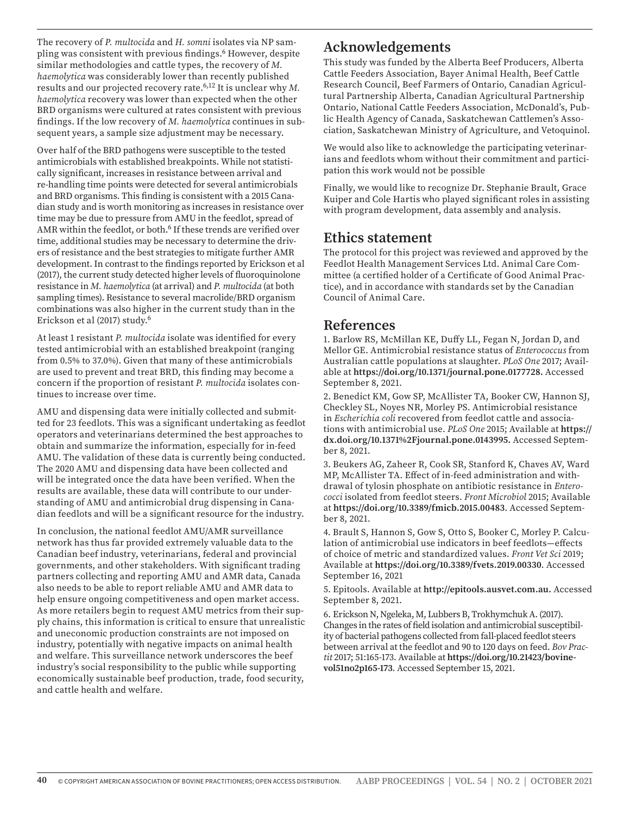The recovery of *P. multocida* and *H. somni* isolates via NP sampling was consistent with previous findings.6 However, despite similar methodologies and cattle types, the recovery of *M. haemolytica* was considerably lower than recently published results and our projected recovery rate.6,12 It is unclear why *M. haemolytica* recovery was lower than expected when the other BRD organisms were cultured at rates consistent with previous findings. If the low recovery of *M. haemolytica* continues in subsequent years, a sample size adjustment may be necessary.

Over half of the BRD pathogens were susceptible to the tested antimicrobials with established breakpoints. While not statistically significant, increases in resistance between arrival and re-handling time points were detected for several antimicrobials and BRD organisms. This finding is consistent with a 2015 Canadian study and is worth monitoring as increases in resistance over time may be due to pressure from AMU in the feedlot, spread of AMR within the feedlot, or both.<sup>6</sup> If these trends are verified over time, additional studies may be necessary to determine the drivers of resistance and the best strategies to mitigate further AMR development. In contrast to the findings reported by Erickson et al (2017), the current study detected higher levels of fluoroquinolone resistance in *M. haemolytica* (at arrival) and *P. multocida* (at both sampling times). Resistance to several macrolide/BRD organism combinations was also higher in the current study than in the Erickson et al (2017) study.6

At least 1 resistant *P. multocida* isolate was identified for every tested antimicrobial with an established breakpoint (ranging from 0.5% to 37.0%). Given that many of these antimicrobials are used to prevent and treat BRD, this finding may become a concern if the proportion of resistant *P. multocida* isolates continues to increase over time.

AMU and dispensing data were initially collected and submitted for 23 feedlots. This was a significant undertaking as feedlot operators and veterinarians determined the best approaches to obtain and summarize the information, especially for in-feed AMU. The validation of these data is currently being conducted. The 2020 AMU and dispensing data have been collected and will be integrated once the data have been verified. When the results are available, these data will contribute to our understanding of AMU and antimicrobial drug dispensing in Canadian feedlots and will be a significant resource for the industry.

In conclusion, the national feedlot AMU/AMR surveillance network has thus far provided extremely valuable data to the Canadian beef industry, veterinarians, federal and provincial governments, and other stakeholders. With significant trading partners collecting and reporting AMU and AMR data, Canada also needs to be able to report reliable AMU and AMR data to help ensure ongoing competitiveness and open market access. As more retailers begin to request AMU metrics from their supply chains, this information is critical to ensure that unrealistic and uneconomic production constraints are not imposed on industry, potentially with negative impacts on animal health and welfare. This surveillance network underscores the beef industry's social responsibility to the public while supporting economically sustainable beef production, trade, food security, and cattle health and welfare.

## **Acknowledgements**

This study was funded by the Alberta Beef Producers, Alberta Cattle Feeders Association, Bayer Animal Health, Beef Cattle Research Council, Beef Farmers of Ontario, Canadian Agricultural Partnership Alberta, Canadian Agricultural Partnership Ontario, National Cattle Feeders Association, McDonald's, Public Health Agency of Canada, Saskatchewan Cattlemen's Association, Saskatchewan Ministry of Agriculture, and Vetoquinol.

We would also like to acknowledge the participating veterinarians and feedlots whom without their commitment and participation this work would not be possible

Finally, we would like to recognize Dr. Stephanie Brault, Grace Kuiper and Cole Hartis who played significant roles in assisting with program development, data assembly and analysis.

### **Ethics statement**

The protocol for this project was reviewed and approved by the Feedlot Health Management Services Ltd. Animal Care Committee (a certified holder of a Certificate of Good Animal Practice), and in accordance with standards set by the Canadian Council of Animal Care.

### **References**

1. Barlow RS, McMillan KE, Duffy LL, Fegan N, Jordan D, and Mellor GE. Antimicrobial resistance status of *Enterococcus* from Australian cattle populations at slaughter. *PLoS One* 2017; Available at **https://doi.org/10.1371/journal.pone.0177728.** Accessed September 8, 2021.

2. Benedict KM, Gow SP, McAllister TA, Booker CW, Hannon SJ, Checkley SL, Noyes NR, Morley PS. Antimicrobial resistance in *Escherichia coli* recovered from feedlot cattle and associations with antimicrobial use. *PLoS One* 2015; Available at **https:// dx.doi.org/10.1371%2Fjournal.pone.0143995.** Accessed September 8, 2021.

3. Beukers AG, Zaheer R, Cook SR, Stanford K, Chaves AV, Ward MP, McAllister TA. Effect of in-feed administration and withdrawal of tylosin phosphate on antibiotic resistance in *Enterococci* isolated from feedlot steers. *Front Microbiol* 2015; Available at **https://doi.org/10.3389/fmicb.2015.00483**. Accessed September 8, 2021.

4. Brault S, Hannon S, Gow S, Otto S, Booker C, Morley P. Calculation of antimicrobial use indicators in beef feedlots—effects of choice of metric and standardized values. *Front Vet Sci* 2019; Available at **https://doi.org/10.3389/fvets.2019.00330**. Accessed September 16, 2021

5. Epitools. Available at **http://epitools.ausvet.com.au.** Accessed September 8, 2021.

6. Erickson N, Ngeleka, M, Lubbers B, Trokhymchuk A. (2017). Changes in the rates of field isolation and antimicrobial susceptibility of bacterial pathogens collected from fall-placed feedlot steers between arrival at the feedlot and 90 to 120 days on feed. *Bov Practit* 2017; 51:165-173. Available at **https://doi.org/10.21423/bovinevol51no2p165-173**. Accessed September 15, 2021.